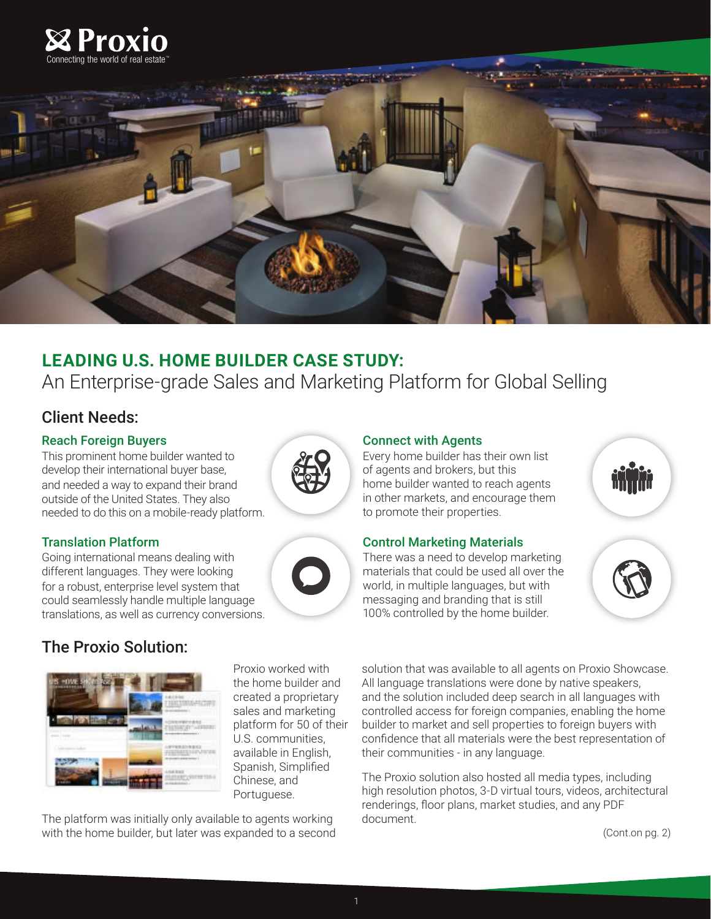



# **LEADING U.S. HOME BUILDER CASE STUDY:**

An Enterprise-grade Sales and Marketing Platform for Global Selling

## Client Needs:

#### Reach Foreign Buyers

This prominent home builder wanted to develop their international buyer base, and needed a way to expand their brand outside of the United States. They also needed to do this on a mobile-ready platform.

## Translation Platform

Going international means dealing with different languages. They were looking for a robust, enterprise level system that could seamlessly handle multiple language translations, as well as currency conversions.

# The Proxio Solution:



Proxio worked with the home builder and created a proprietary sales and marketing platform for 50 of their U.S. communities, available in English, Spanish, Simplifed Chinese, and Portuguese.

The platform was initially only available to agents working with the home builder, but later was expanded to a second

#### Connect with Agents

Every home builder has their own list of agents and brokers, but this home builder wanted to reach agents in other markets, and encourage them to promote their properties.

## Control Marketing Materials

There was a need to develop marketing materials that could be used all over the world, in multiple languages, but with messaging and branding that is still 100% controlled by the home builder.





solution that was available to all agents on Proxio Showcase. All language translations were done by native speakers, and the solution included deep search in all languages with controlled access for foreign companies, enabling the home builder to market and sell properties to foreign buyers with confdence that all materials were the best representation of their communities - in any language.

The Proxio solution also hosted all media types, including high resolution photos, 3-D virtual tours, videos, architectural renderings, foor plans, market studies, and any PDF document.

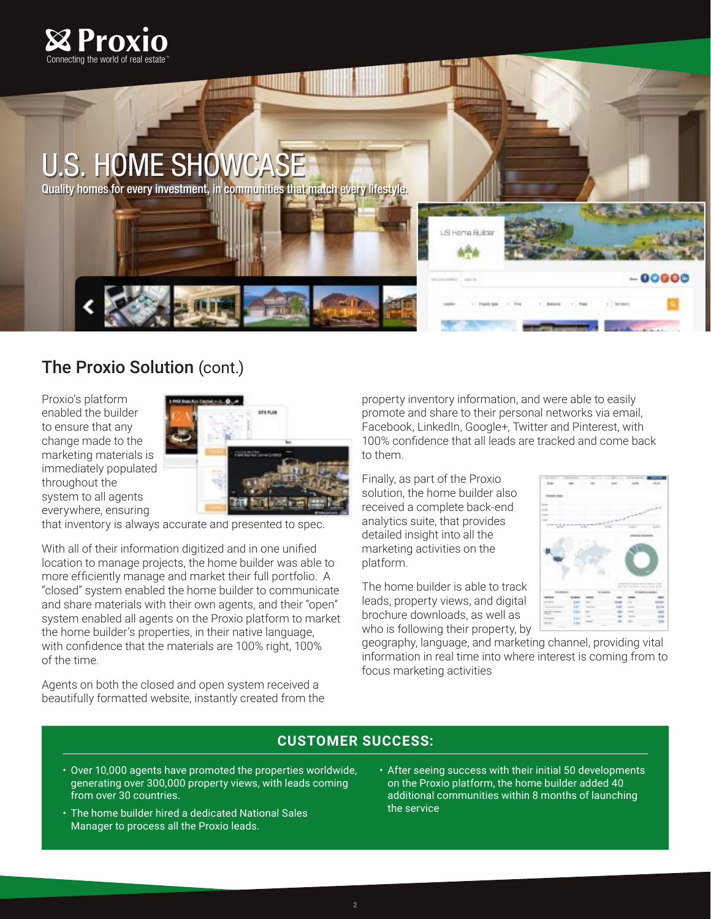

# U.S. HOME SHOWCASE

Quality homes for every investment, in communities that match every lifestyle.

# The Proxio Solution (cont.)

Proxio's platform enabled the builder to ensure that any change made to the marketing materials is immediately populated throughout the system to all agents everywhere, ensuring



that inventory is always accurate and presented to spec.

With all of their information digitized and in one unified location to manage projects, the home builder was able to more efficiently manage and market their full portfolio. A "closed" system enabled the home builder to communicate and share materials with their own agents, and their "open" system enabled all agents on the Proxio platform to market the home builder's properties, in their native language, with confidence that the materials are 100% right, 100% of the time.

Agents on both the closed and open system received a beautifully formatted website, instantly created from the property inventory information, and were able to easily promote and share to their personal networks via email, Facebook, LinkedIn, Google+, Twitter and Pinterest, with 100% confidence that all leads are tracked and come back to them.

Finally, as part of the Proxio solution, the home builder also received a complete back-end analytics suite, that provides detailed insight into all the marketing activities on the platform.

The home builder is able to track leads, property views, and digital brochure downloads, as well as who is following their property, by

geography, language, and marketing channel, providing vital information in real time into where interest is coming from to focus marketing activities

## **CUSTOMER SUCCESS:**

- Over 10,000 agents have promoted the properties worldwide, generating over 300,000 property views, with leads coming from over 30 countries.
- The home builder hired a dedicated National Sales Manager to process all the Proxio leads.
- After seeing success with their initial 50 developments on the Proxio platform, the home builder added 40 additional communities within 8 months of launching the service